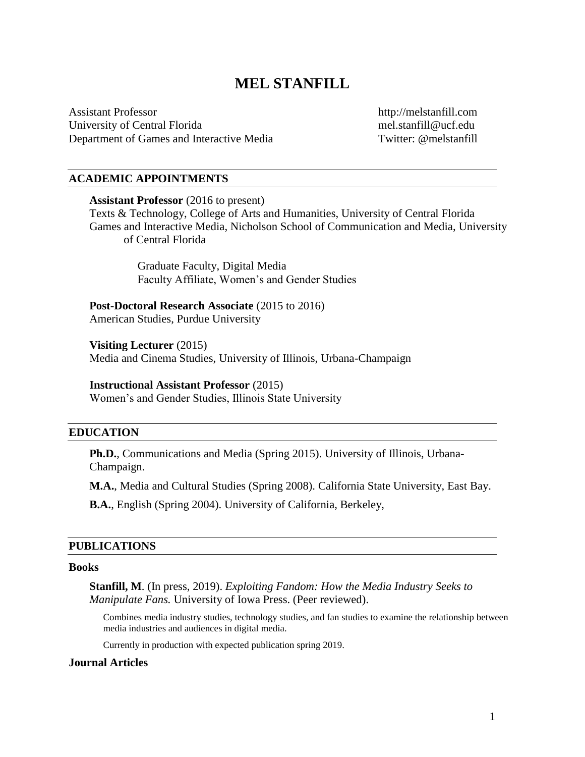# **MEL STANFILL**

Assistant Professor University of Central Florida Department of Games and Interactive Media http://melstanfill.com mel.stanfill@ucf.edu Twitter: @melstanfill

### **ACADEMIC APPOINTMENTS**

#### **Assistant Professor** (2016 to present)

Texts & Technology, College of Arts and Humanities, University of Central Florida Games and Interactive Media, Nicholson School of Communication and Media, University of Central Florida

> Graduate Faculty, Digital Media Faculty Affiliate, Women's and Gender Studies

Post-Doctoral Research Associate (2015 to 2016) American Studies, Purdue University

**Visiting Lecturer** (2015) Media and Cinema Studies, University of Illinois, Urbana-Champaign

#### **Instructional Assistant Professor** (2015)

Women's and Gender Studies, Illinois State University

### **EDUCATION**

**Ph.D.**, Communications and Media (Spring 2015). University of Illinois, Urbana-Champaign.

**M.A.**, Media and Cultural Studies (Spring 2008). California State University, East Bay.

**B.A.**, English (Spring 2004). University of California, Berkeley,

### **PUBLICATIONS**

#### **Books**

**Stanfill, M**. (In press, 2019). *Exploiting Fandom: How the Media Industry Seeks to Manipulate Fans.* University of Iowa Press. (Peer reviewed).

Combines media industry studies, technology studies, and fan studies to examine the relationship between media industries and audiences in digital media.

Currently in production with expected publication spring 2019.

### **Journal Articles**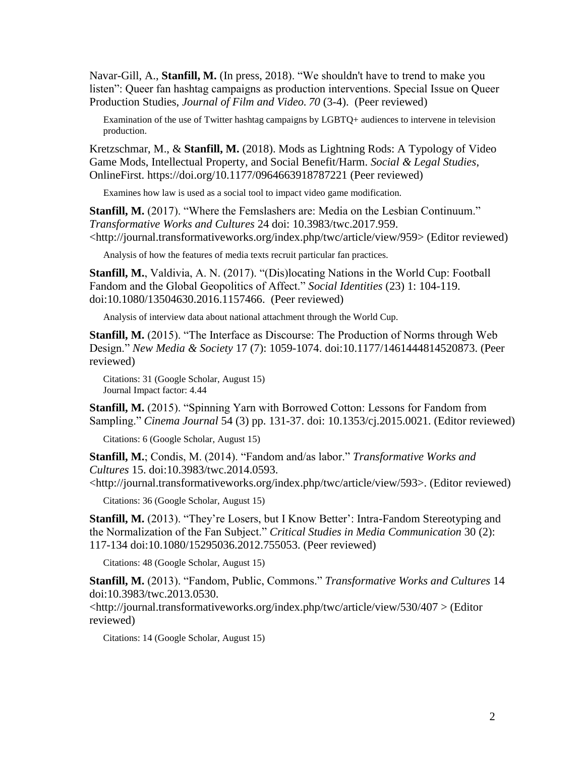Navar-Gill, A., **Stanfill, M.** (In press, 2018). "We shouldn't have to trend to make you listen": Queer fan hashtag campaigns as production interventions. Special Issue on Queer Production Studies, *Journal of Film and Video. 70* (3-4). (Peer reviewed)

Examination of the use of Twitter hashtag campaigns by LGBTQ+ audiences to intervene in television production.

Kretzschmar, M., & **Stanfill, M.** (2018). Mods as Lightning Rods: A Typology of Video Game Mods, Intellectual Property, and Social Benefit/Harm. *Social & Legal Studies*, OnlineFirst. https://doi.org/10.1177/0964663918787221 (Peer reviewed)

Examines how law is used as a social tool to impact video game modification.

**Stanfill, M.** (2017). "Where the Femslashers are: Media on the Lesbian Continuum." *Transformative Works and Cultures* 24 doi: 10.3983/twc.2017.959. <http://journal.transformativeworks.org/index.php/twc/article/view/959> (Editor reviewed)

Analysis of how the features of media texts recruit particular fan practices.

**Stanfill, M.**, Valdivia, A. N. (2017). "(Dis)locating Nations in the World Cup: Football Fandom and the Global Geopolitics of Affect." *Social Identities* (23) 1: 104-119. doi:10.1080/13504630.2016.1157466. (Peer reviewed)

Analysis of interview data about national attachment through the World Cup.

**Stanfill, M.** (2015). "The Interface as Discourse: The Production of Norms through Web Design." *New Media & Society* 17 (7): 1059-1074. doi:10.1177/1461444814520873. (Peer reviewed)

Citations: 31 (Google Scholar, August 15) Journal Impact factor: 4.44

**Stanfill, M.** (2015). "Spinning Yarn with Borrowed Cotton: Lessons for Fandom from Sampling." *Cinema Journal* 54 (3) pp. 131-37. doi: 10.1353/cj.2015.0021. (Editor reviewed)

Citations: 6 (Google Scholar, August 15)

**Stanfill, M.**; Condis, M. (2014). "Fandom and/as labor." *Transformative Works and Cultures* 15. doi:10.3983/twc.2014.0593.

<http://journal.transformativeworks.org/index.php/twc/article/view/593>. (Editor reviewed)

Citations: 36 (Google Scholar, August 15)

**Stanfill, M.** (2013). "They're Losers, but I Know Better': Intra-Fandom Stereotyping and the Normalization of the Fan Subject." *Critical Studies in Media Communication* 30 (2): 117-134 doi:10.1080/15295036.2012.755053. (Peer reviewed)

Citations: 48 (Google Scholar, August 15)

**Stanfill, M.** (2013). "Fandom, Public, Commons." *Transformative Works and Cultures* 14 doi:10.3983/twc.2013.0530.

<http://journal.transformativeworks.org/index.php/twc/article/view/530/407 > (Editor reviewed)

Citations: 14 (Google Scholar, August 15)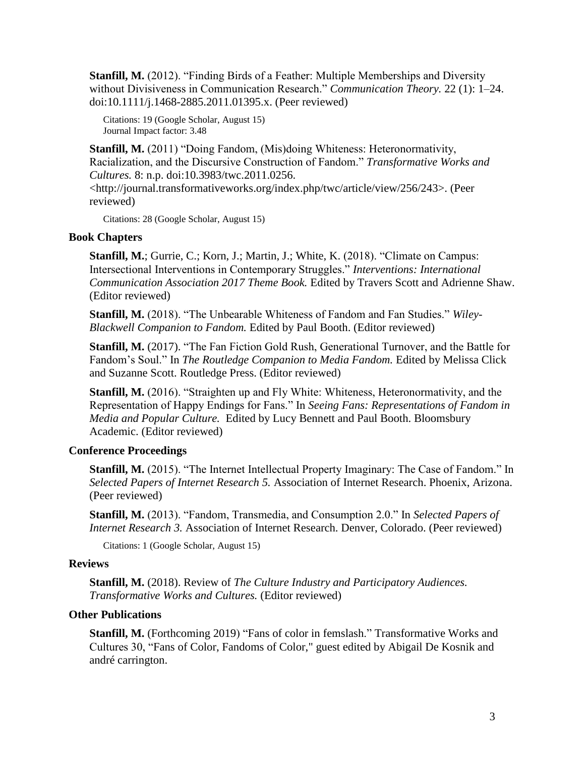**Stanfill, M.** (2012). "Finding Birds of a Feather: Multiple Memberships and Diversity without Divisiveness in Communication Research." *Communication Theory.* 22 (1): 1–24. doi:10.1111/j.1468-2885.2011.01395.x. (Peer reviewed)

Citations: 19 (Google Scholar, August 15) Journal Impact factor: 3.48

**Stanfill, M.** (2011) "Doing Fandom, (Mis)doing Whiteness: Heteronormativity, Racialization, and the Discursive Construction of Fandom." *Transformative Works and Cultures.* 8: n.p. doi:10.3983/twc.2011.0256.

<http://journal.transformativeworks.org/index.php/twc/article/view/256/243>. (Peer reviewed)

Citations: 28 (Google Scholar, August 15)

# **Book Chapters**

**Stanfill, M.**; Gurrie, C.; Korn, J.; Martin, J.; White, K. (2018). "Climate on Campus: Intersectional Interventions in Contemporary Struggles." *Interventions: International Communication Association 2017 Theme Book.* Edited by Travers Scott and Adrienne Shaw. (Editor reviewed)

**Stanfill, M.** (2018). "The Unbearable Whiteness of Fandom and Fan Studies." *Wiley-Blackwell Companion to Fandom.* Edited by Paul Booth. (Editor reviewed)

**Stanfill, M.** (2017). "The Fan Fiction Gold Rush, Generational Turnover, and the Battle for Fandom's Soul." In *The Routledge Companion to Media Fandom.* Edited by Melissa Click and Suzanne Scott. Routledge Press. (Editor reviewed)

**Stanfill, M.** (2016). "Straighten up and Fly White: Whiteness, Heteronormativity, and the Representation of Happy Endings for Fans." In *Seeing Fans: Representations of Fandom in Media and Popular Culture.* Edited by Lucy Bennett and Paul Booth. Bloomsbury Academic. (Editor reviewed)

# **Conference Proceedings**

**Stanfill, M.** (2015). "The Internet Intellectual Property Imaginary: The Case of Fandom." In *Selected Papers of Internet Research 5.* Association of Internet Research. Phoenix, Arizona. (Peer reviewed)

**Stanfill, M.** (2013). "Fandom, Transmedia, and Consumption 2.0." In *Selected Papers of Internet Research 3.* Association of Internet Research. Denver, Colorado. (Peer reviewed)

Citations: 1 (Google Scholar, August 15)

### **Reviews**

**Stanfill, M.** (2018). Review of *The Culture Industry and Participatory Audiences. Transformative Works and Cultures.* (Editor reviewed)

### **Other Publications**

**Stanfill, M.** (Forthcoming 2019) "Fans of color in femslash." Transformative Works and Cultures 30, "Fans of Color, Fandoms of Color," guest edited by Abigail De Kosnik and andré carrington.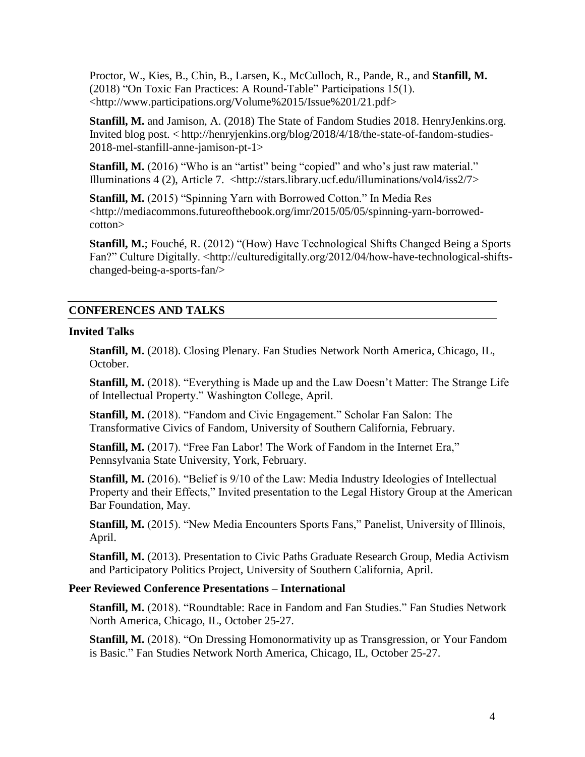Proctor, W., Kies, B., Chin, B., Larsen, K., McCulloch, R., Pande, R., and **Stanfill, M.**  (2018) "On Toxic Fan Practices: A Round-Table" Participations 15(1). <http://www.participations.org/Volume%2015/Issue%201/21.pdf>

**Stanfill, M.** and Jamison, A. (2018) The State of Fandom Studies 2018. HenryJenkins.org. Invited blog post. < http://henryjenkins.org/blog/2018/4/18/the-state-of-fandom-studies-2018-mel-stanfill-anne-jamison-pt-1>

**Stanfill, M.** (2016) "Who is an "artist" being "copied" and who's just raw material." Illuminations 4 (2), Article 7. <http://stars.library.ucf.edu/illuminations/vol4/iss2/7>

**Stanfill, M.** (2015) "Spinning Yarn with Borrowed Cotton." In Media Res <http://mediacommons.futureofthebook.org/imr/2015/05/05/spinning-yarn-borrowedcotton>

**Stanfill, M.**; Fouché, R. (2012) "(How) Have Technological Shifts Changed Being a Sports Fan?" Culture Digitally. <http://culturedigitally.org/2012/04/how-have-technological-shiftschanged-being-a-sports-fan/>

# **CONFERENCES AND TALKS**

# **Invited Talks**

**Stanfill, M.** (2018). Closing Plenary. Fan Studies Network North America, Chicago, IL, October.

**Stanfill, M.** (2018). "Everything is Made up and the Law Doesn't Matter: The Strange Life of Intellectual Property." Washington College, April.

**Stanfill, M.** (2018). "Fandom and Civic Engagement." Scholar Fan Salon: The Transformative Civics of Fandom, University of Southern California, February.

**Stanfill, M.** (2017). "Free Fan Labor! The Work of Fandom in the Internet Era," Pennsylvania State University, York, February.

**Stanfill, M.** (2016). "Belief is 9/10 of the Law: Media Industry Ideologies of Intellectual Property and their Effects," Invited presentation to the Legal History Group at the American Bar Foundation, May.

Stanfill, M. (2015). "New Media Encounters Sports Fans," Panelist, University of Illinois, April.

**Stanfill, M.** (2013). Presentation to Civic Paths Graduate Research Group, Media Activism and Participatory Politics Project, University of Southern California, April.

# **Peer Reviewed Conference Presentations – International**

**Stanfill, M.** (2018). "Roundtable: Race in Fandom and Fan Studies." Fan Studies Network North America, Chicago, IL, October 25-27.

**Stanfill, M.** (2018). "On Dressing Homonormativity up as Transgression, or Your Fandom is Basic." Fan Studies Network North America, Chicago, IL, October 25-27.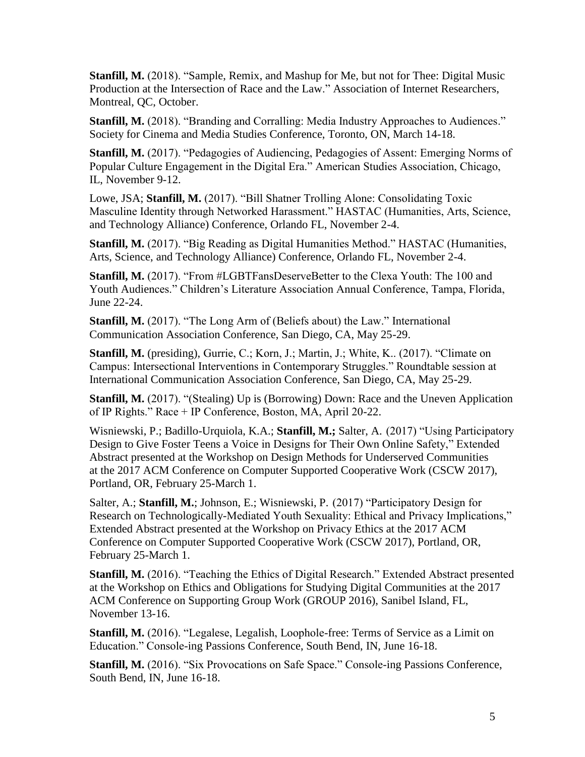**Stanfill, M.** (2018). "Sample, Remix, and Mashup for Me, but not for Thee: Digital Music Production at the Intersection of Race and the Law." Association of Internet Researchers, Montreal, QC, October.

**Stanfill, M.** (2018). "Branding and Corralling: Media Industry Approaches to Audiences." Society for Cinema and Media Studies Conference, Toronto, ON, March 14-18.

**Stanfill, M.** (2017). "Pedagogies of Audiencing, Pedagogies of Assent: Emerging Norms of Popular Culture Engagement in the Digital Era." American Studies Association, Chicago, IL, November 9-12.

Lowe, JSA; **Stanfill, M.** (2017). "Bill Shatner Trolling Alone: Consolidating Toxic Masculine Identity through Networked Harassment." HASTAC (Humanities, Arts, Science, and Technology Alliance) Conference, Orlando FL, November 2-4.

**Stanfill, M.** (2017). "Big Reading as Digital Humanities Method." HASTAC (Humanities, Arts, Science, and Technology Alliance) Conference, Orlando FL, November 2-4.

**Stanfill, M.** (2017). "From #LGBTFansDeserveBetter to the Clexa Youth: The 100 and Youth Audiences." Children's Literature Association Annual Conference, Tampa, Florida, June 22-24.

**Stanfill, M.** (2017). "The Long Arm of (Beliefs about) the Law." International Communication Association Conference, San Diego, CA, May 25-29.

**Stanfill, M.** (presiding), Gurrie, C.; Korn, J.; Martin, J.; White, K.. (2017). "Climate on Campus: Intersectional Interventions in Contemporary Struggles." Roundtable session at International Communication Association Conference, San Diego, CA, May 25-29.

**Stanfill, M.** (2017). "(Stealing) Up is (Borrowing) Down: Race and the Uneven Application of IP Rights." Race + IP Conference, Boston, MA, April 20-22.

Wisniewski, P.; Badillo-Urquiola, K.A.; **Stanfill, M.;** Salter, A.(2017) "Using Participatory Design to Give Foster Teens a Voice in Designs for Their Own Online Safety," Extended Abstract presented at the Workshop on Design Methods for Underserved Communities at the 2017 ACM Conference on Computer Supported Cooperative Work (CSCW 2017), Portland, OR, February 25-March 1.

Salter, A.; **Stanfill, M.**; Johnson, E.; Wisniewski, P.(2017) "Participatory Design for Research on Technologically-Mediated Youth Sexuality: Ethical and Privacy Implications," Extended Abstract presented at the Workshop on Privacy Ethics at the 2017 ACM Conference on Computer Supported Cooperative Work (CSCW 2017), Portland, OR, February 25-March 1.

**Stanfill, M.** (2016). "Teaching the Ethics of Digital Research." Extended Abstract presented at the Workshop on Ethics and Obligations for Studying Digital Communities at the 2017 ACM Conference on Supporting Group Work (GROUP 2016), Sanibel Island, FL, November 13-16.

**Stanfill, M.** (2016). "Legalese, Legalish, Loophole-free: Terms of Service as a Limit on Education." Console-ing Passions Conference, South Bend, IN, June 16-18.

**Stanfill, M.** (2016). "Six Provocations on Safe Space." Console-ing Passions Conference, South Bend, IN, June 16-18.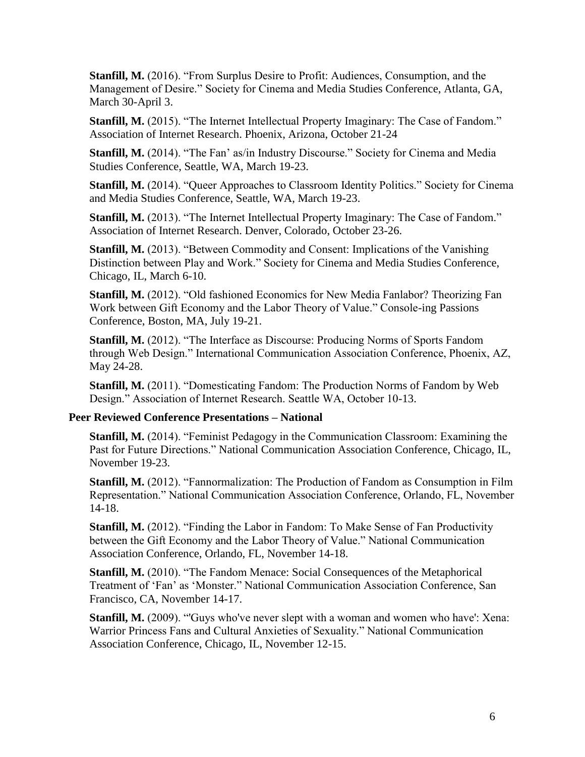**Stanfill, M.** (2016). "From Surplus Desire to Profit: Audiences, Consumption, and the Management of Desire." Society for Cinema and Media Studies Conference, Atlanta, GA, March 30-April 3.

**Stanfill, M.** (2015). "The Internet Intellectual Property Imaginary: The Case of Fandom." Association of Internet Research. Phoenix, Arizona, October 21-24

**Stanfill, M.** (2014). "The Fan' as/in Industry Discourse." Society for Cinema and Media Studies Conference, Seattle, WA, March 19-23.

**Stanfill, M.** (2014). "Queer Approaches to Classroom Identity Politics." Society for Cinema and Media Studies Conference, Seattle, WA, March 19-23.

**Stanfill, M.** (2013). "The Internet Intellectual Property Imaginary: The Case of Fandom." Association of Internet Research. Denver, Colorado, October 23-26.

**Stanfill, M.** (2013). "Between Commodity and Consent: Implications of the Vanishing Distinction between Play and Work." Society for Cinema and Media Studies Conference, Chicago, IL, March 6-10.

**Stanfill, M.** (2012). "Old fashioned Economics for New Media Fanlabor? Theorizing Fan Work between Gift Economy and the Labor Theory of Value." Console-ing Passions Conference, Boston, MA, July 19-21.

**Stanfill, M.** (2012). "The Interface as Discourse: Producing Norms of Sports Fandom through Web Design." International Communication Association Conference, Phoenix, AZ, May 24-28.

**Stanfill, M.** (2011). "Domesticating Fandom: The Production Norms of Fandom by Web Design." Association of Internet Research. Seattle WA, October 10-13.

# **Peer Reviewed Conference Presentations – National**

**Stanfill, M.** (2014). "Feminist Pedagogy in the Communication Classroom: Examining the Past for Future Directions." National Communication Association Conference, Chicago, IL, November 19-23.

**Stanfill, M.** (2012). "Fannormalization: The Production of Fandom as Consumption in Film Representation." National Communication Association Conference, Orlando, FL, November 14-18.

**Stanfill, M.** (2012). "Finding the Labor in Fandom: To Make Sense of Fan Productivity between the Gift Economy and the Labor Theory of Value." National Communication Association Conference, Orlando, FL, November 14-18.

**Stanfill, M.** (2010). "The Fandom Menace: Social Consequences of the Metaphorical Treatment of 'Fan' as 'Monster." National Communication Association Conference, San Francisco, CA, November 14-17.

**Stanfill, M.** (2009). "Guys who've never slept with a woman and women who have': Xena: Warrior Princess Fans and Cultural Anxieties of Sexuality." National Communication Association Conference, Chicago, IL, November 12-15.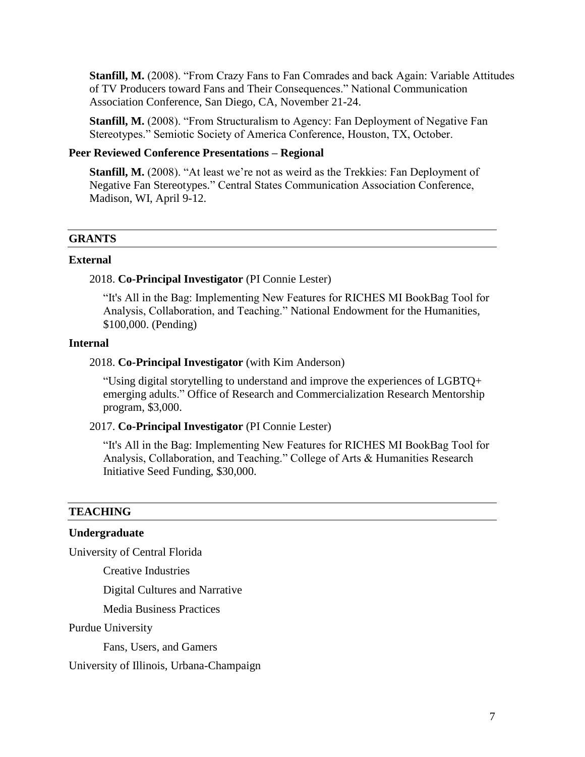**Stanfill, M.** (2008). "From Crazy Fans to Fan Comrades and back Again: Variable Attitudes of TV Producers toward Fans and Their Consequences." National Communication Association Conference, San Diego, CA, November 21-24.

**Stanfill, M.** (2008). "From Structuralism to Agency: Fan Deployment of Negative Fan Stereotypes." Semiotic Society of America Conference, Houston, TX, October.

# **Peer Reviewed Conference Presentations – Regional**

**Stanfill, M.** (2008). "At least we're not as weird as the Trekkies: Fan Deployment of Negative Fan Stereotypes*.*" Central States Communication Association Conference, Madison, WI, April 9-12.

### **GRANTS**

#### **External**

# 2018. **Co-Principal Investigator** (PI Connie Lester)

"It's All in the Bag: Implementing New Features for RICHES MI BookBag Tool for Analysis, Collaboration, and Teaching." National Endowment for the Humanities, \$100,000. (Pending)

#### **Internal**

### 2018. **Co-Principal Investigator** (with Kim Anderson)

"Using digital storytelling to understand and improve the experiences of LGBTQ+ emerging adults." Office of Research and Commercialization Research Mentorship program, \$3,000.

### 2017. **Co-Principal Investigator** (PI Connie Lester)

"It's All in the Bag: Implementing New Features for RICHES MI BookBag Tool for Analysis, Collaboration, and Teaching." College of Arts & Humanities Research Initiative Seed Funding, \$30,000.

### **TEACHING**

### **Undergraduate**

University of Central Florida

Creative Industries

Digital Cultures and Narrative

Media Business Practices

Purdue University

Fans, Users, and Gamers

University of Illinois, Urbana-Champaign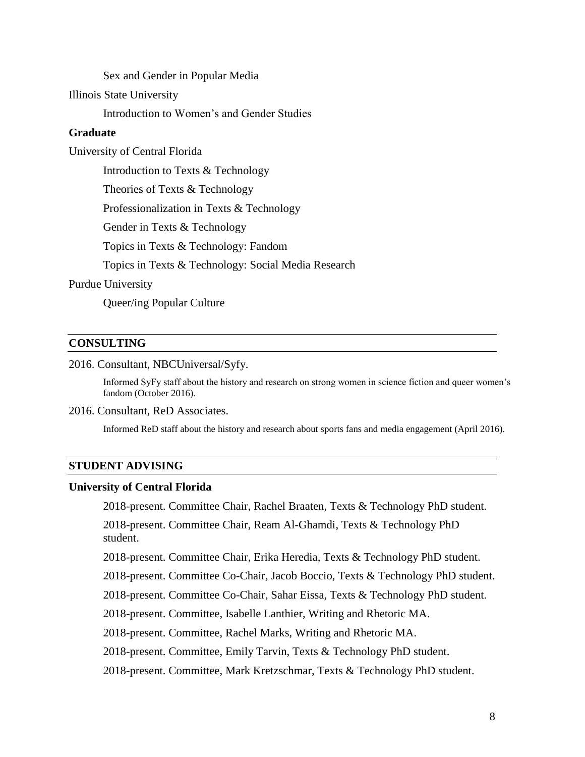Sex and Gender in Popular Media

Illinois State University

Introduction to Women's and Gender Studies

### **Graduate**

University of Central Florida

Introduction to Texts & Technology

Theories of Texts & Technology

Professionalization in Texts & Technology

Gender in Texts & Technology

Topics in Texts & Technology: Fandom

Topics in Texts & Technology: Social Media Research

### Purdue University

Queer/ing Popular Culture

### **CONSULTING**

2016. Consultant, NBCUniversal/Syfy.

Informed SyFy staff about the history and research on strong women in science fiction and queer women's fandom (October 2016).

#### 2016. Consultant, ReD Associates.

Informed ReD staff about the history and research about sports fans and media engagement (April 2016).

### **STUDENT ADVISING**

#### **University of Central Florida**

2018-present. Committee Chair, Rachel Braaten, Texts & Technology PhD student.

2018-present. Committee Chair, Ream Al-Ghamdi, Texts & Technology PhD student.

2018-present. Committee Chair, Erika Heredia, Texts & Technology PhD student.

2018-present. Committee Co-Chair, Jacob Boccio, Texts & Technology PhD student.

2018-present. Committee Co-Chair, Sahar Eissa, Texts & Technology PhD student.

2018-present. Committee, Isabelle Lanthier, Writing and Rhetoric MA.

2018-present. Committee, Rachel Marks, Writing and Rhetoric MA.

2018-present. Committee, Emily Tarvin, Texts & Technology PhD student.

2018-present. Committee, Mark Kretzschmar, Texts & Technology PhD student.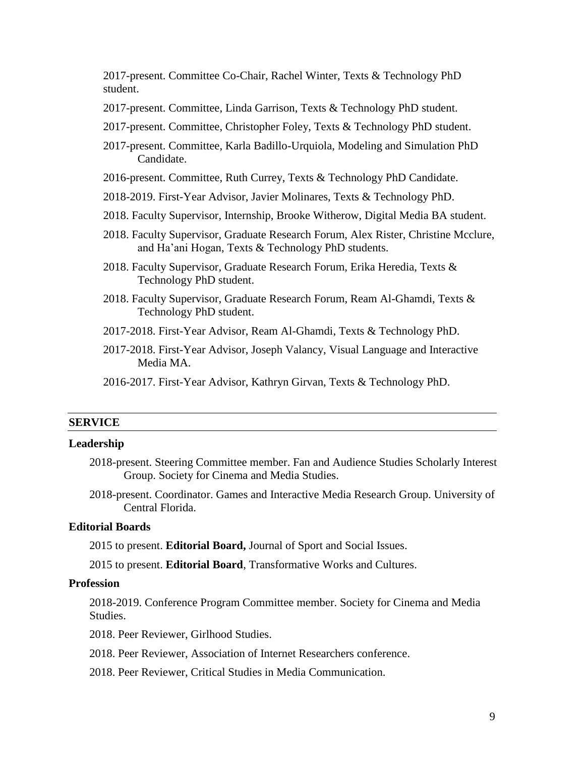2017-present. Committee Co-Chair, Rachel Winter, Texts & Technology PhD student.

- 2017-present. Committee, Linda Garrison, Texts & Technology PhD student.
- 2017-present. Committee, Christopher Foley, Texts & Technology PhD student.
- 2017-present. Committee, Karla Badillo-Urquiola, Modeling and Simulation PhD Candidate.
- 2016-present. Committee, Ruth Currey, Texts & Technology PhD Candidate.
- 2018-2019. First-Year Advisor, Javier Molinares, Texts & Technology PhD.
- 2018. Faculty Supervisor, Internship, Brooke Witherow, Digital Media BA student.
- 2018. Faculty Supervisor, Graduate Research Forum, Alex Rister, Christine Mcclure, and Ha'ani Hogan, Texts & Technology PhD students.
- 2018. Faculty Supervisor, Graduate Research Forum, Erika Heredia, Texts & Technology PhD student.
- 2018. Faculty Supervisor, Graduate Research Forum, Ream Al-Ghamdi, Texts & Technology PhD student.
- 2017-2018. First-Year Advisor, Ream Al-Ghamdi, Texts & Technology PhD.
- 2017-2018. First-Year Advisor, Joseph Valancy, Visual Language and Interactive Media MA.
- 2016-2017. First-Year Advisor, Kathryn Girvan, Texts & Technology PhD.

### **SERVICE**

#### **Leadership**

- 2018-present. Steering Committee member. Fan and Audience Studies Scholarly Interest Group. Society for Cinema and Media Studies.
- 2018-present. Coordinator. Games and Interactive Media Research Group. University of Central Florida.

### **Editorial Boards**

2015 to present. **Editorial Board,** Journal of Sport and Social Issues.

2015 to present. **Editorial Board**, Transformative Works and Cultures.

#### **Profession**

2018-2019. Conference Program Committee member. Society for Cinema and Media Studies.

2018. Peer Reviewer, Girlhood Studies.

2018. Peer Reviewer, Association of Internet Researchers conference.

2018. Peer Reviewer, Critical Studies in Media Communication.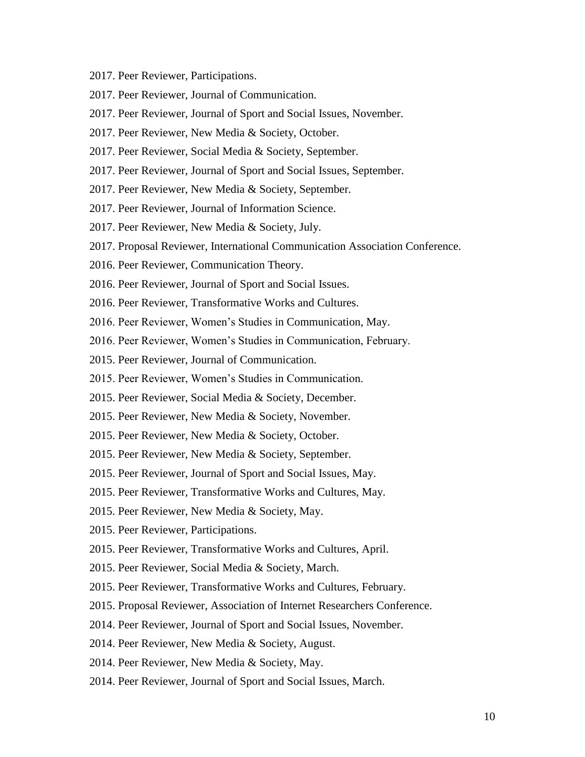- 2017. Peer Reviewer, Participations.
- 2017. Peer Reviewer, Journal of Communication.
- 2017. Peer Reviewer, Journal of Sport and Social Issues, November.
- 2017. Peer Reviewer, New Media & Society, October.
- 2017. Peer Reviewer, Social Media & Society, September.
- 2017. Peer Reviewer, Journal of Sport and Social Issues, September.
- 2017. Peer Reviewer, New Media & Society, September.
- 2017. Peer Reviewer, Journal of Information Science.
- 2017. Peer Reviewer, New Media & Society, July.
- 2017. Proposal Reviewer, International Communication Association Conference.
- 2016. Peer Reviewer, Communication Theory.
- 2016. Peer Reviewer, Journal of Sport and Social Issues.
- 2016. Peer Reviewer, Transformative Works and Cultures.
- 2016. Peer Reviewer, Women's Studies in Communication, May.
- 2016. Peer Reviewer, Women's Studies in Communication, February.
- 2015. Peer Reviewer, Journal of Communication.
- 2015. Peer Reviewer, Women's Studies in Communication.
- 2015. Peer Reviewer, Social Media & Society, December.
- 2015. Peer Reviewer, New Media & Society, November.
- 2015. Peer Reviewer, New Media & Society, October.
- 2015. Peer Reviewer, New Media & Society, September.
- 2015. Peer Reviewer, Journal of Sport and Social Issues, May.
- 2015. Peer Reviewer, Transformative Works and Cultures, May.
- 2015. Peer Reviewer, New Media & Society, May.
- 2015. Peer Reviewer, Participations.
- 2015. Peer Reviewer, Transformative Works and Cultures, April.
- 2015. Peer Reviewer, Social Media & Society, March.
- 2015. Peer Reviewer, Transformative Works and Cultures, February.
- 2015. Proposal Reviewer, Association of Internet Researchers Conference.
- 2014. Peer Reviewer, Journal of Sport and Social Issues, November.
- 2014. Peer Reviewer, New Media & Society, August.
- 2014. Peer Reviewer, New Media & Society, May.
- 2014. Peer Reviewer, Journal of Sport and Social Issues, March.